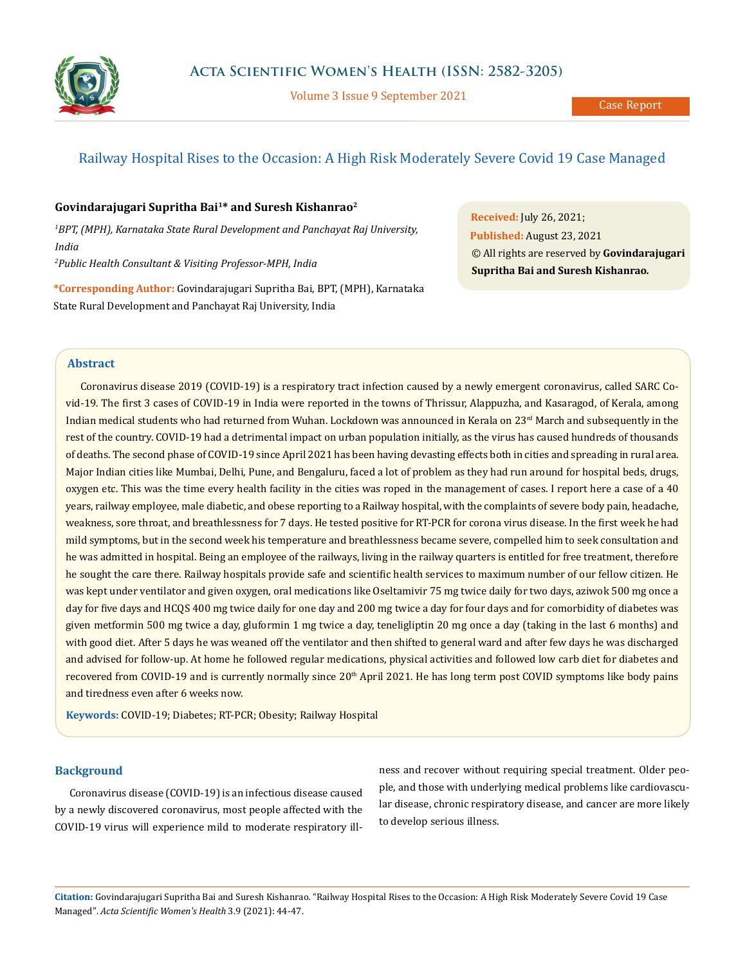

Volume 3 Issue 9 September 2021

# Railway Hospital Rises to the Occasion: A High Risk Moderately Severe Covid 19 Case Managed

# **Govindarajugari Supritha Bai1\* and Suresh Kishanrao2**

*1 BPT, (MPH), Karnataka State Rural Development and Panchayat Raj University, India*

*2 Public Health Consultant & Visiting Professor-MPH, India*

**\*Corresponding Author:** Govindarajugari Supritha Bai, BPT, (MPH), Karnataka State Rural Development and Panchayat Raj University, India

**Received:** July 26, 2021; **Published:** August 23, 2021 © All rights are reserved by **Govindarajugari Supritha Bai and Suresh Kishanrao***.*

## **Abstract**

Coronavirus disease 2019 (COVID-19) is a respiratory tract infection caused by a newly emergent coronavirus, called SARC Covid-19. The first 3 cases of COVID-19 in India were reported in the towns of Thrissur, Alappuzha, and Kasaragod, of Kerala, among Indian medical students who had returned from Wuhan. Lockdown was announced in Kerala on 23<sup>rd</sup> March and subsequently in the rest of the country. COVID-19 had a detrimental impact on urban population initially, as the virus has caused hundreds of thousands of deaths. The second phase of COVID-19 since April 2021 has been having devasting effects both in cities and spreading in rural area. Major Indian cities like Mumbai, Delhi, Pune, and Bengaluru, faced a lot of problem as they had run around for hospital beds, drugs, oxygen etc. This was the time every health facility in the cities was roped in the management of cases. I report here a case of a 40 years, railway employee, male diabetic, and obese reporting to a Railway hospital, with the complaints of severe body pain, headache, weakness, sore throat, and breathlessness for 7 days. He tested positive for RT-PCR for corona virus disease. In the first week he had mild symptoms, but in the second week his temperature and breathlessness became severe, compelled him to seek consultation and he was admitted in hospital. Being an employee of the railways, living in the railway quarters is entitled for free treatment, therefore he sought the care there. Railway hospitals provide safe and scientific health services to maximum number of our fellow citizen. He was kept under ventilator and given oxygen, oral medications like Oseltamivir 75 mg twice daily for two days, aziwok 500 mg once a day for five days and HCQS 400 mg twice daily for one day and 200 mg twice a day for four days and for comorbidity of diabetes was given metformin 500 mg twice a day, gluformin 1 mg twice a day, teneligliptin 20 mg once a day (taking in the last 6 months) and with good diet. After 5 days he was weaned off the ventilator and then shifted to general ward and after few days he was discharged and advised for follow-up. At home he followed regular medications, physical activities and followed low carb diet for diabetes and recovered from COVID-19 and is currently normally since  $20<sup>th</sup>$  April 2021. He has long term post COVID symptoms like body pains and tiredness even after 6 weeks now.

**Keywords:** COVID-19; Diabetes; RT-PCR; Obesity; Railway Hospital

# **Background**

Coronavirus disease (COVID-19) is an infectious disease caused by a newly discovered coronavirus, most people affected with the COVID-19 virus will experience mild to moderate respiratory ill-

ness and recover without requiring special treatment. Older people, and those with underlying medical problems like cardiovascular disease, chronic respiratory disease, and cancer are more likely to develop serious illness.

**Citation:** Govindarajugari Supritha Bai and Suresh Kishanrao*.* "Railway Hospital Rises to the Occasion: A High Risk Moderately Severe Covid 19 Case Managed". *Acta Scientific Women's Health* 3.9 (2021): 44-47.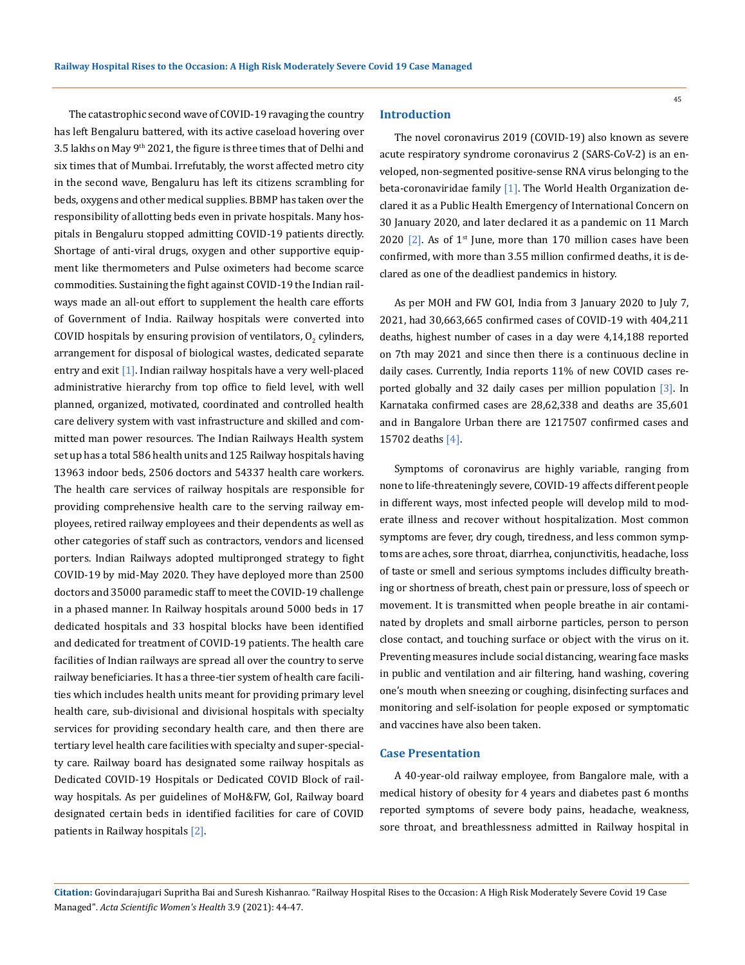The catastrophic second wave of COVID-19 ravaging the country has left Bengaluru battered, with its active caseload hovering over 3.5 lakhs on May 9<sup>th</sup> 2021, the figure is three times that of Delhi and six times that of Mumbai. Irrefutably, the worst affected metro city in the second wave, Bengaluru has left its citizens scrambling for beds, oxygens and other medical supplies. BBMP has taken over the responsibility of allotting beds even in private hospitals. Many hospitals in Bengaluru stopped admitting COVID-19 patients directly. Shortage of anti-viral drugs, oxygen and other supportive equipment like thermometers and Pulse oximeters had become scarce commodities. Sustaining the fight against COVID-19 the Indian railways made an all-out effort to supplement the health care efforts of Government of India. Railway hospitals were converted into COVID hospitals by ensuring provision of ventilators,  $O_2$  cylinders, arrangement for disposal of biological wastes, dedicated separate entry and exit  $[1]$ . Indian railway hospitals have a very well-placed administrative hierarchy from top office to field level, with well planned, organized, motivated, coordinated and controlled health care delivery system with vast infrastructure and skilled and committed man power resources. The Indian Railways Health system set up has a total 586 health units and 125 Railway hospitals having 13963 indoor beds, 2506 doctors and 54337 health care workers. The health care services of railway hospitals are responsible for providing comprehensive health care to the serving railway employees, retired railway employees and their dependents as well as other categories of staff such as contractors, vendors and licensed porters. Indian Railways adopted multipronged strategy to fight COVID-19 by mid-May 2020. They have deployed more than 2500 doctors and 35000 paramedic staff to meet the COVID-19 challenge in a phased manner. In Railway hospitals around 5000 beds in 17 dedicated hospitals and 33 hospital blocks have been identified and dedicated for treatment of COVID-19 patients. The health care facilities of Indian railways are spread all over the country to serve railway beneficiaries. It has a three-tier system of health care facilities which includes health units meant for providing primary level health care, sub-divisional and divisional hospitals with specialty services for providing secondary health care, and then there are tertiary level health care facilities with specialty and super-specialty care. Railway board has designated some railway hospitals as Dedicated COVID-19 Hospitals or Dedicated COVID Block of railway hospitals. As per guidelines of MoH&FW, GoI, Railway board designated certain beds in identified facilities for care of COVID patients in Railway hospitals [2].

#### **Introduction**

The novel coronavirus 2019 (COVID-19) also known as severe acute respiratory syndrome coronavirus 2 (SARS-CoV-2) is an enveloped, non-segmented positive-sense RNA virus belonging to the beta-coronaviridae family [1]. The World Health Organization declared it as a Public Health Emergency of International Concern on 30 January 2020, and later declared it as a pandemic on 11 March 2020  $[2]$ . As of 1<sup>st</sup> June, more than 170 million cases have been confirmed, with more than 3.55 million confirmed deaths, it is declared as one of the deadliest pandemics in history.

As per MOH and FW GOI, India from 3 January 2020 to July 7, 2021, had 30,663,665 confirmed cases of COVID-19 with 404,211 deaths, highest number of cases in a day were 4,14,188 reported on 7th may 2021 and since then there is a continuous decline in daily cases. Currently, India reports 11% of new COVID cases reported globally and 32 daily cases per million population [3]. In Karnataka confirmed cases are 28,62,338 and deaths are 35,601 and in Bangalore Urban there are 1217507 confirmed cases and 15702 deaths [4].

Symptoms of coronavirus are highly variable, ranging from none to life-threateningly severe, COVID-19 affects different people in different ways, most infected people will develop mild to moderate illness and recover without hospitalization. Most common symptoms are fever, dry cough, tiredness, and less common symptoms are aches, sore throat, diarrhea, conjunctivitis, headache, loss of taste or smell and serious symptoms includes difficulty breathing or shortness of breath, chest pain or pressure, loss of speech or movement. It is transmitted when people breathe in air contaminated by droplets and small airborne particles, person to person close contact, and touching surface or object with the virus on it. Preventing measures include social distancing, wearing face masks in public and ventilation and air filtering, hand washing, covering one's mouth when sneezing or coughing, disinfecting surfaces and monitoring and self-isolation for people exposed or symptomatic and vaccines have also been taken.

### **Case Presentation**

A 40-year-old railway employee, from Bangalore male, with a medical history of obesity for 4 years and diabetes past 6 months reported symptoms of severe body pains, headache, weakness, sore throat, and breathlessness admitted in Railway hospital in

**Citation:** Govindarajugari Supritha Bai and Suresh Kishanrao*.* "Railway Hospital Rises to the Occasion: A High Risk Moderately Severe Covid 19 Case Managed". *Acta Scientific Women's Health* 3.9 (2021): 44-47.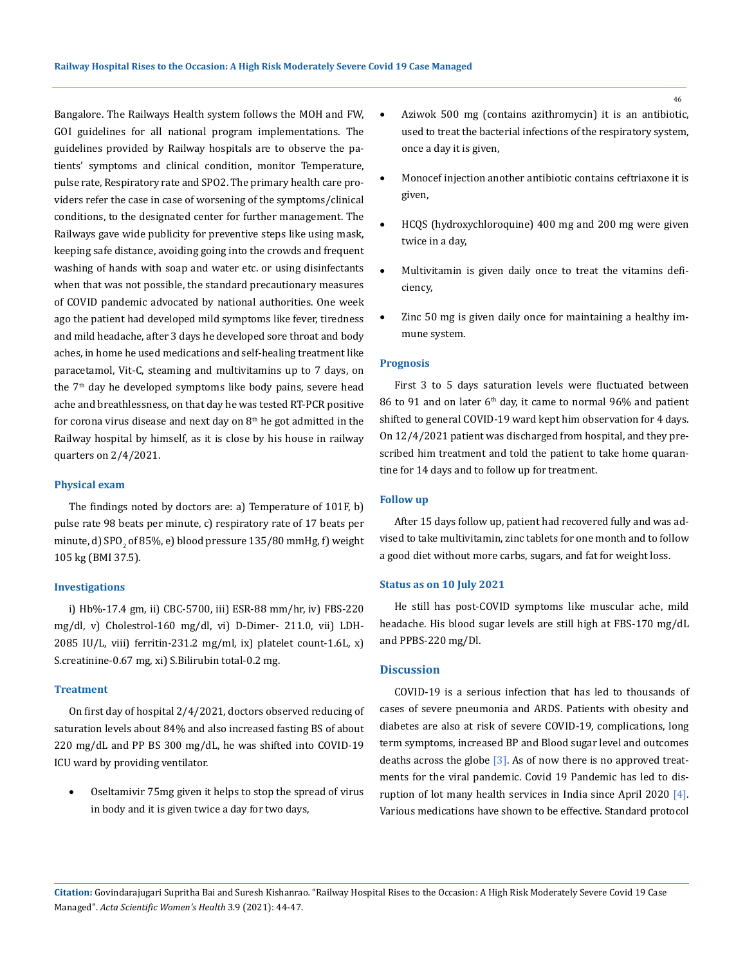Bangalore. The Railways Health system follows the MOH and FW, GOI guidelines for all national program implementations. The guidelines provided by Railway hospitals are to observe the patients' symptoms and clinical condition, monitor Temperature, pulse rate, Respiratory rate and SPO2. The primary health care providers refer the case in case of worsening of the symptoms/clinical conditions, to the designated center for further management. The Railways gave wide publicity for preventive steps like using mask, keeping safe distance, avoiding going into the crowds and frequent washing of hands with soap and water etc. or using disinfectants when that was not possible, the standard precautionary measures of COVID pandemic advocated by national authorities. One week ago the patient had developed mild symptoms like fever, tiredness and mild headache, after 3 days he developed sore throat and body aches, in home he used medications and self-healing treatment like paracetamol, Vit-C, steaming and multivitamins up to 7 days, on the  $7<sup>th</sup>$  day he developed symptoms like body pains, severe head ache and breathlessness, on that day he was tested RT-PCR positive for corona virus disease and next day on  $8<sup>th</sup>$  he got admitted in the Railway hospital by himself, as it is close by his house in railway quarters on 2/4/2021.

#### **Physical exam**

The findings noted by doctors are: a) Temperature of 101F, b) pulse rate 98 beats per minute, c) respiratory rate of 17 beats per minute, d) SPO $_{\rm 2}$  of 85%, e) blood pressure 135/80 mmHg, f ) weight 105 kg (BMI 37.5).

#### **Investigations**

i) Hb%-17.4 gm, ii) CBC-5700, iii) ESR-88 mm/hr, iv) FBS-220 mg/dl, v) Cholestrol-160 mg/dl, vi) D-Dimer- 211.0, vii) LDH-2085 IU/L, viii) ferritin-231.2 mg/ml, ix) platelet count-1.6L, x) S.creatinine-0.67 mg, xi) S.Bilirubin total-0.2 mg.

# **Treatment**

On first day of hospital 2/4/2021, doctors observed reducing of saturation levels about 84% and also increased fasting BS of about 220 mg/dL and PP BS 300 mg/dL, he was shifted into COVID-19 ICU ward by providing ventilator.

Oseltamivir 75mg given it helps to stop the spread of virus in body and it is given twice a day for two days,

- Aziwok 500 mg (contains azithromycin) it is an antibiotic, used to treat the bacterial infections of the respiratory system, once a day it is given,
- Monocef injection another antibiotic contains ceftriaxone it is given,
- HCQS (hydroxychloroquine) 400 mg and 200 mg were given twice in a day,
- Multivitamin is given daily once to treat the vitamins deficiency,
- Zinc 50 mg is given daily once for maintaining a healthy immune system.

#### **Prognosis**

First 3 to 5 days saturation levels were fluctuated between 86 to 91 and on later  $6<sup>th</sup>$  day, it came to normal 96% and patient shifted to general COVID-19 ward kept him observation for 4 days. On 12/4/2021 patient was discharged from hospital, and they prescribed him treatment and told the patient to take home quarantine for 14 days and to follow up for treatment.

#### **Follow up**

After 15 days follow up, patient had recovered fully and was advised to take multivitamin, zinc tablets for one month and to follow a good diet without more carbs, sugars, and fat for weight loss.

#### **Status as on 10 July 2021**

He still has post-COVID symptoms like muscular ache, mild headache. His blood sugar levels are still high at FBS-170 mg/dL and PPBS-220 mg/Dl.

## **Discussion**

COVID-19 is a serious infection that has led to thousands of cases of severe pneumonia and ARDS. Patients with obesity and diabetes are also at risk of severe COVID-19, complications, long term symptoms, increased BP and Blood sugar level and outcomes deaths across the globe  $[3]$ . As of now there is no approved treatments for the viral pandemic. Covid 19 Pandemic has led to disruption of lot many health services in India since April 2020 [4]. Various medications have shown to be effective. Standard protocol

**Citation:** Govindarajugari Supritha Bai and Suresh Kishanrao*.* "Railway Hospital Rises to the Occasion: A High Risk Moderately Severe Covid 19 Case Managed". *Acta Scientific Women's Health* 3.9 (2021): 44-47.

46